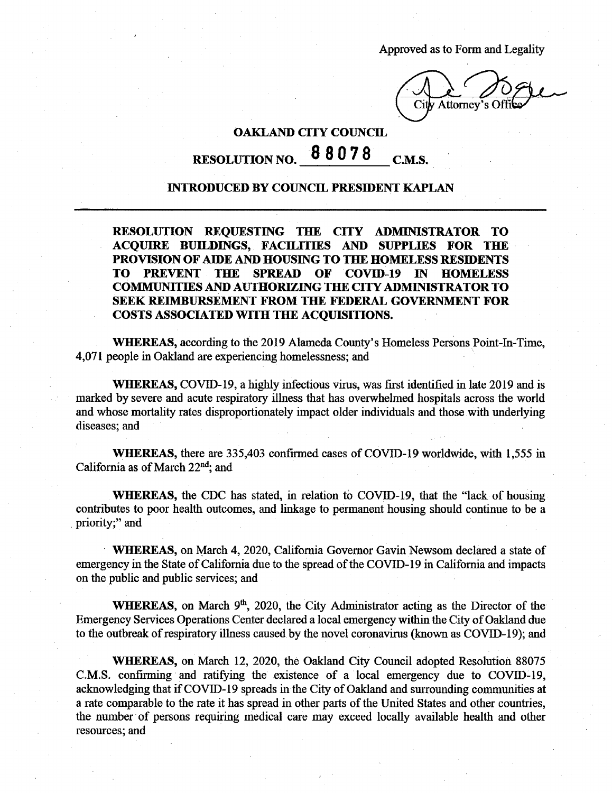Approved as to Form and Legality

*X* City Attorney's Offil

## **OAKLAND CITY COUNCIL RESOLUTION NO. <sup>8</sup> 8078 C.M.S.**

## **INTRODUCED BY COUNCIL PRESIDENT KAPLAN**

**RESOLUTION REQUESTING THE CITY ADMINISTRATOR TO ACQUIRE BUILDINGS, FACmTIES AND SUPPLIES FOR THE PROVISION OF AIDE AND HOUSING TO THE HOMELESS RESIDENTS TO PREVENT THE SPREAD OF COVID-19 IN HOMELESS COMMUNITIES AND AUTHORIZING THE CITY ADMINISTRATOR TO SEEK REIMBURSEMENT FROM THE FEDERAL GOVERNMENT FOR COSTS ASSOCIATED WITH THE ACQUISITIONS.**

**WHEREAS,** according to the 2019 Alameda County's Homeless Persons Point-In-Time, 4,071 people in Oakland are experiencing homelessness; and

**WHEREAS,** COVID-19, a highly infectious virus, was first identified in late 2019 and is marked by severe and acute respiratory illness that has overwhelmed hospitals across the world and whose mortality rates disproportionately impact older individuals and those with underlying diseases; and

**WHEREAS,** there are 335,403 confirmed cases of COVID-19 worldwide, with 1,555 in California as of March 22<sup>nd</sup>; and

**WHEREAS,** the CDC has stated, in relation to COVID-19, that the "lack of housing contributes to poor health outcomes, and linkage to permanent housing should continue to be a priority;" and

**WHEREAS,** on March 4, 2020, California Governor Gavin Newsom declared a state of emergency in the State of California due to the spread of the COVID-19 in California and impacts on the public and public services; and

WHEREAS, on March 9<sup>th</sup>, 2020, the City Administrator acting as the Director of the Emergency Services Operations Center declared a local emergency within the City of Oakland due to the outbreak of respiratory illness caused by the novel coronavirus (known as COVID-19); and

**WHEREAS,** on March 12, 2020, the Oakland City Council adopted Resolution 88075 C.M.S. confirming and ratifying the existence of a local emergency due to COVID-19, acknowledging that if COVID-19 spreads in the City of Oakland and surrounding communities at a rate comparable to the rate it has spread in other parts ofthe United States and other countries, the number of persons requiring medical care may exceed locally available health and other resources; and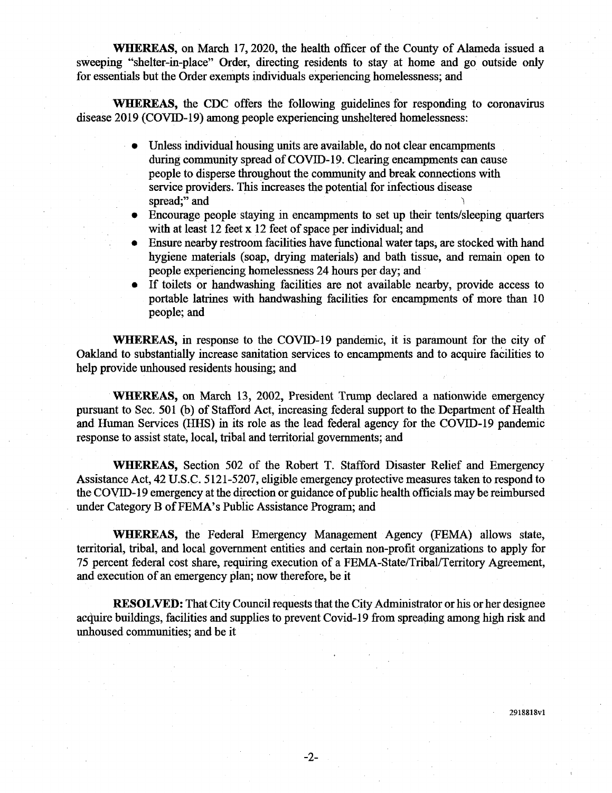**WHEREAS,** on March 17,2020, the health officer of the County of Alameda issued a sweeping "shelter-in-place" Order, directing residents to stay at home and go outside only for essentials but the Order exempts individuals experiencing homelessness; and

**WHEREAS,** the CDC offers the following guidelines for responding to coronavirus disease 2019 (COVID-19) among people experiencing unsheltered homelessness:

- Unless individual housing units are available, do not clear encampments during community spread of COVID-19. Clearing encampments can cause people to disperse throughout the community and break connections with service providers. This increases the potential for infectious disease spread;" and • 'i
- Encourage people staying in encampments to set up their tents/sleeping quarters with at least  $12$  feet x  $12$  feet of space per individual; and
- Ensure nearby restroom facilities have functional water taps, are stocked with hand hygiene materials (soap, drying materials) and bath tissue, and remain open to people experiencing homelessness 24 hours per day; and
- If toilets or handwashing facilities are not available nearby, provide access to portable latrines with handwashing facilities for encampments of more than 10 people; and

**WHEREAS,** in response to the COVID-19 pandemic, it is paramount for the city of Oakland to substantially increase sanitation services to encampments and to acquire facilities to help provide unhoused residents housing; and

**WHEREAS,** on March 13, 2002, President Trump declared a nationwide emergency pursuant to Sec. 501 (b) of Stafford Act, increasing federal support to the Department of Health and Human Services (HHS) in its role as the lead federal agency for the COVID-19 pandemic response to assist state, local, tribal and territorial governments; and

**WHEREAS,** Section 502 of the Robert T. Stafford Disaster Relief and Emergency Assistance Act, 42 U.S.C. 5121-5207, eligible emergency protective measures taken to respond to the COVID-19 emergency at the direction or guidance of public health officials may be reimbursed under Category B of FEMA's Public Assistance Program; and

**WHEREAS,** the Federal Emergency Management Agency (FEMA) allows state, territorial, tribal, and local government entities and certain non-profit organizations to apply for 75 percent federal cost share, requiring execution of a FEMA-State/Tribal/Territory Agreement, and execution of an emergency plan; now therefore, be it

**RESOLVED:** That City Council requests that the City Administrator or his or her designee acquire buildings, facilities and supplies to prevent Covid-19 from spreading among high risk and unhoused communities; and be it

291S818vl